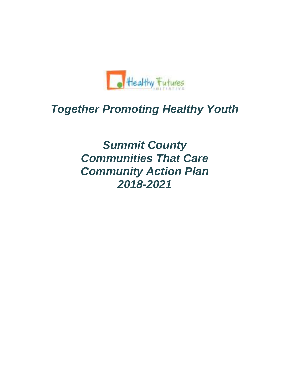

# *Together Promoting Healthy Youth*

*Summit County Communities That Care Community Action Plan 2018-2021*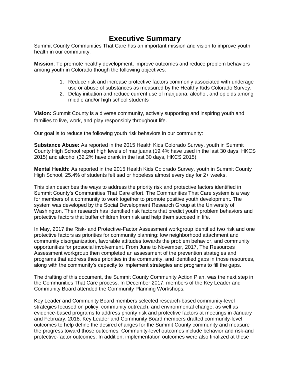### **Executive Summary**

Summit County Communities That Care has an important mission and vision to improve youth health in our community:

**Mission**: To promote healthy development, improve outcomes and reduce problem behaviors among youth in Colorado though the following objectives:

- 1. Reduce risk and increase protective factors commonly associated with underage use or abuse of substances as measured by the Healthy Kids Colorado Survey.
- 2. Delay initiation and reduce current use of marijuana, alcohol, and opioids among middle and/or high school students

**Vision:** Summit County is a diverse community, actively supporting and inspiring youth and families to live, work, and play responsibly throughout life.

Our goal is to reduce the following youth risk behaviors in our community:

**Substance Abuse:** As reported in the 2015 Health Kids Colorado Survey, youth in Summit County High School report high levels of marijuana (19.4% have used in the last 30 days, HKCS 2015) and alcohol (32.2% have drank in the last 30 days, HKCS 2015).

**Mental Health:** As reported in the 2015 Health Kids Colorado Survey, youth in Summit County High School, 25.4% of students felt sad or hopeless almost every day for 2+ weeks.

This plan describes the ways to address the priority risk and protective factors identified in Summit County's Communities That Care effort. The Communities That Care system is a way for members of a community to work together to promote positive youth development. The system was developed by the Social Development Research Group at the University of Washington. Their research has identified risk factors that predict youth problem behaviors and protective factors that buffer children from risk and help them succeed in life.

In May, 2017 the Risk- and Protective-Factor Assessment workgroup identified two risk and one protective factors as priorities for community planning: low neighborhood attachment and community disorganization, favorable attitudes towards the problem behavior, and community opportunities for prosocial involvement. From June to November, 2017, The Resources Assessment workgroup then completed an assessment of the prevention strategies and programs that address these priorities in the community, and identified gaps in those resources, along with the community's capacity to implement strategies and programs to fill the gaps.

The drafting of this document, the Summit County Community Action Plan, was the next step in the Communities That Care process. In December 2017, members of the Key Leader and Community Board attended the Community Planning Workshops.

Key Leader and Community Board members selected research-based community-level strategies focused on policy, community outreach, and environmental change, as well as evidence-based programs to address priority risk and protective factors at meetings in January and February, 2018. Key Leader and Community Board members drafted community-level outcomes to help define the desired changes for the Summit County community and measure the progress toward those outcomes. Community-level outcomes include behavior and risk-and protective-factor outcomes. In addition, implementation outcomes were also finalized at these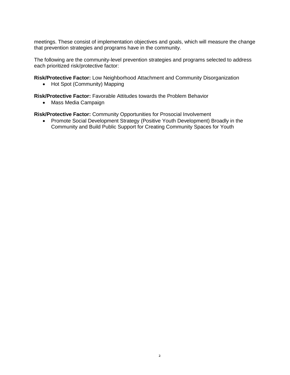meetings. These consist of implementation objectives and goals, which will measure the change that prevention strategies and programs have in the community.

The following are the community-level prevention strategies and programs selected to address each prioritized risk/protective factor:

**Risk/Protective Factor:** Low Neighborhood Attachment and Community Disorganization

• Hot Spot (Community) Mapping

**Risk/Protective Factor:** Favorable Attitudes towards the Problem Behavior

• Mass Media Campaign

**Risk/Protective Factor:** Community Opportunities for Prosocial Involvement

• Promote Social Development Strategy (Positive Youth Development) Broadly in the Community and Build Public Support for Creating Community Spaces for Youth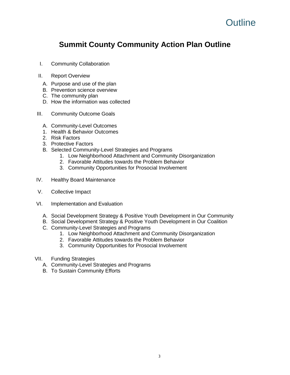## **Outline**

### **Summit County Community Action Plan Outline**

- I. Community Collaboration
- II. Report Overview
	- A. Purpose and use of the plan
	- B. Prevention science overview
	- C. The community plan
	- D. How the information was collected
- III. Community Outcome Goals
	- A. Community-Level Outcomes
	- 1. Health & Behavior Outcomes
	- 2. Risk Factors
	- 3. Protective Factors
	- B. Selected Community-Level Strategies and Programs
		- 1. Low Neighborhood Attachment and Community Disorganization
		- 2. Favorable Attitudes towards the Problem Behavior
		- 3. Community Opportunities for Prosocial Involvement
- IV. Healthy Board Maintenance
- V. Collective Impact
- VI. Implementation and Evaluation
	- A. Social Development Strategy & Positive Youth Development in Our Community
	- B. Social Development Strategy & Positive Youth Development in Our Coalition
	- C. Community-Level Strategies and Programs
		- 1. Low Neighborhood Attachment and Community Disorganization
		- 2. Favorable Attitudes towards the Problem Behavior
		- 3. Community Opportunities for Prosocial Involvement
- VII. Funding Strategies
	- A. Community-Level Strategies and Programs
	- B. To Sustain Community Efforts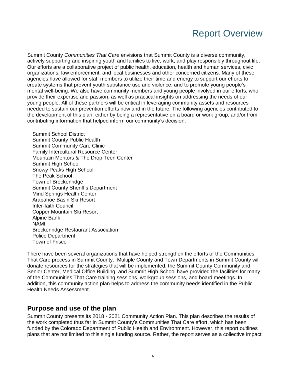## Report Overview

Summit County *Communities That Care* envisions that Summit County is a diverse community, actively supporting and inspiring youth and families to live, work, and play responsibly throughout life. Our efforts are a collaborative project of public health, education, health and human services, civic organizations, law enforcement, and local businesses and other concerned citizens. Many of these agencies have allowed for staff members to utilize their time and energy to support our efforts to create systems that prevent youth substance use and violence, and to promote young people's mental well-being. We also have community members and young people involved in our efforts, who provide their expertise and passion, as well as practical insights on addressing the needs of our young people. All of these partners will be critical in leveraging community assets and resources needed to sustain our prevention efforts now and in the future. The following agencies contributed to the development of this plan, either by being a representative on a board or work group, and/or from contributing information that helped inform our community's decision:

Summit School District Summit County Public Health Summit Community Care Clinic Family Intercultural Resource Center Mountain Mentors & The Drop Teen Center Summit High School Snowy Peaks High School The Peak School Town of Breckenridge Summit County Sheriff's Department Mind Springs Health Center Arapahoe Basin Ski Resort Inter-faith Council Copper Mountain Ski Resort Alpine Bank NAMI Breckenridge Restaurant Association Police Department Town of Frisco

There have been several organizations that have helped strengthen the efforts of the Communities That Care process in Summit County. Multiple County and Town Departments in Summit County will donate resources for the strategies that will be implemented; the Summit County Community and Senior Center, Medical Office Building, and Summit High School have provided the facilities for many of the Communities That Care training sessions, workgroup sessions, and board meetings. In addition, this community action plan helps to address the community needs identified in the Public Health Needs Assessment.

#### **Purpose and use of the plan**

Summit County presents its 2018 - 2021 Community Action Plan. This plan describes the results of the work completed thus far in Summit County's Communities That Care effort, which has been funded by the Colorado Department of Public Health and Environment. However, this report outlines plans that are not limited to this single funding source. Rather, the report serves as a collective impact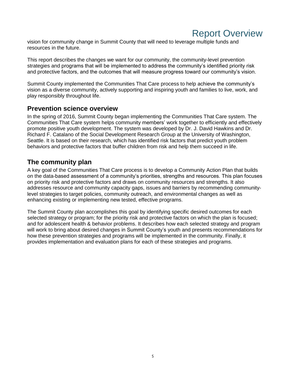### Report Overview

vision for community change in Summit County that will need to leverage multiple funds and resources in the future.

This report describes the changes we want for our community, the community-level prevention strategies and programs that will be implemented to address the community's identified priority risk and protective factors, and the outcomes that will measure progress toward our community's vision.

Summit County implemented the Communities That Care process to help achieve the community's vision as a diverse community, actively supporting and inspiring youth and families to live, work, and play responsibly throughout life.

#### **Prevention science overview**

In the spring of 2016, Summit County began implementing the Communities That Care system. The Communities That Care system helps community members' work together to efficiently and effectively promote positive youth development. The system was developed by Dr. J. David Hawkins and Dr. Richard F. Catalano of the Social Development Research Group at the University of Washington, Seattle. It is based on their research, which has identified risk factors that predict youth problem behaviors and protective factors that buffer children from risk and help them succeed in life.

#### **The community plan**

A key goal of the Communities That Care process is to develop a Community Action Plan that builds on the data-based assessment of a community's priorities, strengths and resources. This plan focuses on priority risk and protective factors and draws on community resources and strengths. It also addresses resource and community capacity gaps, issues and barriers by recommending communitylevel strategies to target policies, community outreach, and environmental changes as well as enhancing existing or implementing new tested, effective programs.

The Summit County plan accomplishes this goal by identifying specific desired outcomes for each selected strategy or program; for the priority risk and protective factors on which the plan is focused; and for adolescent health & behavior problems. It describes how each selected strategy and program will work to bring about desired changes in Summit County's youth and presents recommendations for how these prevention strategies and programs will be implemented in the community. Finally, it provides implementation and evaluation plans for each of these strategies and programs.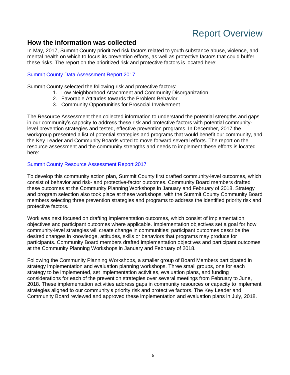## Report Overview

#### **How the information was collected**

In May, 2017, Summit County prioritized risk factors related to youth substance abuse, violence, and mental health on which to focus its prevention efforts, as well as protective factors that could buffer these risks. The report on the prioritized risk and protective factors is located here:

#### [Summit County Data Assessment Report 2017](https://drive.google.com/open?id=1TKljmkaj7trgf57MQpEUTd9ddNBw5P3q%20%20)

Summit County selected the following risk and protective factors:

- 1. Low Neighborhood Attachment and Community Disorganization
- 2. Favorable Attitudes towards the Problem Behavior
- 3. Community Opportunities for Prosocial Involvement

The Resource Assessment then collected information to understand the potential strengths and gaps in our community's capacity to address these risk and protective factors with potential communitylevel prevention strategies and tested, effective prevention programs. In December, 2017 the workgroup presented a list of potential strategies and programs that would benefit our community, and the Key Leader and Community Boards voted to move forward several efforts. The report on the resource assessment and the community strengths and needs to implement these efforts is located here:

#### [Summit County Resource Assessment Report 2017](https://drive.google.com/open?id=1GqNbQCCbg8f-9boaYsWkdiRzzHRsiqVi)

To develop this community action plan, Summit County first drafted community-level outcomes, which consist of behavior and risk- and protective-factor outcomes. Community Board members drafted these outcomes at the Community Planning Workshops in January and February of 2018. Strategy and program selection also took place at these workshops, with the Summit County Community Board members selecting three prevention strategies and programs to address the identified priority risk and protective factors.

Work was next focused on drafting implementation outcomes, which consist of implementation objectives and participant outcomes where applicable. Implementation objectives set a goal for how community-level strategies will create change in communities; participant outcomes describe the desired changes in knowledge, attitudes, skills or behaviors that programs may produce for participants. Community Board members drafted implementation objectives and participant outcomes at the Community Planning Workshops in January and February of 2018.

Following the Community Planning Workshops, a smaller group of Board Members participated in strategy implementation and evaluation planning workshops. Three small groups, one for each strategy to be implemented, set implementation activities, evaluation plans, and funding considerations for each of the prevention strategies over several meetings from February to June, 2018. These implementation activities address gaps in community resources or capacity to implement strategies aligned to our community's priority risk and protective factors. The Key Leader and Community Board reviewed and approved these implementation and evaluation plans in July, 2018.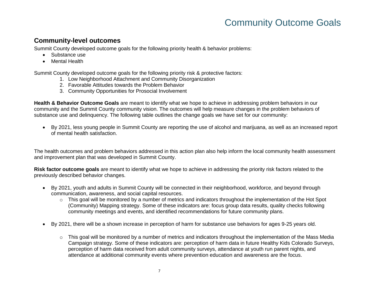#### **Community-level outcomes**

Summit County developed outcome goals for the following priority health & behavior problems:

- Substance use
- Mental Health

Summit County developed outcome goals for the following priority risk & protective factors:

- 1. Low Neighborhood Attachment and Community Disorganization
- 2. Favorable Attitudes towards the Problem Behavior
- 3. Community Opportunities for Prosocial Involvement

**Health & Behavior Outcome Goals** are meant to identify what we hope to achieve in addressing problem behaviors in our community and the Summit County community vision. The outcomes will help measure changes in the problem behaviors of substance use and delinquency. The following table outlines the change goals we have set for our community:

 By 2021, less young people in Summit County are reporting the use of alcohol and marijuana, as well as an increased report of mental health satisfaction.

The health outcomes and problem behaviors addressed in this action plan also help inform the local community health assessment and improvement plan that was developed in Summit County.

**Risk factor outcome goals** are meant to identify what we hope to achieve in addressing the priority risk factors related to the previously described behavior changes.

- By 2021, youth and adults in Summit County will be connected in their neighborhood, workforce, and beyond through communication, awareness, and social capital resources.
	- $\circ$  This goal will be monitored by a number of metrics and indicators throughout the implementation of the Hot Spot (Community) Mapping strategy. Some of these indicators are: focus group data results, quality checks following community meetings and events, and identified recommendations for future community plans.
- By 2021, there will be a shown increase in perception of harm for substance use behaviors for ages 9-25 years old.
	- $\circ$  This goal will be monitored by a number of metrics and indicators throughout the implementation of the Mass Media Campaign strategy. Some of these indicators are: perception of harm data in future Healthy Kids Colorado Surveys, perception of harm data received from adult community surveys, attendance at youth run parent nights, and attendance at additional community events where prevention education and awareness are the focus.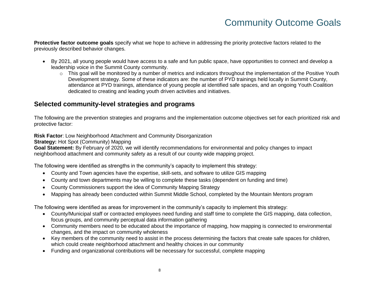**Protective factor outcome goals** specify what we hope to achieve in addressing the priority protective factors related to the previously described behavior changes.

- By 2021, all young people would have access to a safe and fun public space, have opportunities to connect and develop a leadership voice in the Summit County community.
	- $\circ$  This goal will be monitored by a number of metrics and indicators throughout the implementation of the Positive Youth Development strategy. Some of these indicators are: the number of PYD trainings held locally in Summit County, attendance at PYD trainings, attendance of young people at identified safe spaces, and an ongoing Youth Coalition dedicated to creating and leading youth driven activities and initiatives.

#### **Selected community-level strategies and programs**

The following are the prevention strategies and programs and the implementation outcome objectives set for each prioritized risk and protective factor:

**Risk Factor**: Low Neighborhood Attachment and Community Disorganization

**Strategy: Hot Spot (Community) Mapping** 

**Goal Statement:** By February of 2020, we will identify recommendations for environmental and policy changes to impact neighborhood attachment and community safety as a result of our county wide mapping project.

The following were identified as strengths in the community's capacity to implement this strategy:

- County and Town agencies have the expertise, skill-sets, and software to utilize GIS mapping
- County and town departments may be willing to complete these tasks (dependent on funding and time)
- County Commissioners support the idea of Community Mapping Strategy
- Mapping has already been conducted within Summit Middle School, completed by the Mountain Mentors program

The following were identified as areas for improvement in the community's capacity to implement this strategy:

- County/Municipal staff or contracted employees need funding and staff time to complete the GIS mapping, data collection, focus groups, and community perceptual data information gathering
- Community members need to be educated about the importance of mapping, how mapping is connected to environmental changes, and the impact on community wholeness
- Key members of the community need to assist in the process determining the factors that create safe spaces for children, which could create neighborhood attachment and healthy choices in our community
- Funding and organizational contributions will be necessary for successful, complete mapping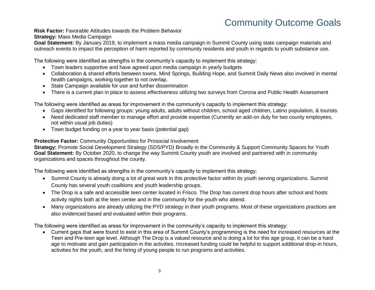**Risk Factor:** Favorable Attitudes towards the Problem Behavior **Strategy:** Mass Media Campaign

**Goal Statement:** By January 2019, to implement a mass media campaign in Summit County using state campaign materials and outreach events to impact the perception of harm reported by community residents and youth in regards to youth substance use.

The following were identified as strengths in the community's capacity to implement this strategy:

- Town leaders supportive and have agreed upon media campaign in yearly budgets
- Collaboration & shared efforts between towns. Mind Springs, Building Hope, and Summit Daily News also involved in mental health campaigns, working together to not overlap.
- State Campaign available for use and further dissemination
- There is a current plan in place to assess effectiveness utilizing two surveys from Corona and Public Health Assessment

The following were identified as areas for improvement in the community's capacity to implement this strategy:

- Gaps identified for following groups: young adults, adults without children, school aged children, Latino population, & tourists
- Need dedicated staff member to manage effort and provide expertise (Currently an add-on duty for two county employees, not within usual job duties)
- Town budget funding on a year to year basis (potential gap)

**Protective Factor:** Community Opportunities for Prosocial Involvement

**Strategy:** Promote Social Development Strategy (SDS/PYD) Broadly in the Community & Support Community Spaces for Youth **Goal Statement:** By October 2020, to change the way Summit County youth are involved and partnered with in community organizations and spaces throughout the county.

The following were identified as strengths in the community's capacity to implement this strategy:

- Summit County is already doing a lot of great work in this protective factor within its youth serving organizations. Summit County has several youth coalitions and youth leadership groups.
- The Drop is a safe and accessible teen center located in Frisco. The Drop has current drop hours after school and hosts activity nights both at the teen center and in the community for the youth who attend.
- Many organizations are already utilizing the PYD strategy in their youth programs. Most of these organizations practices are also evidenced based and evaluated within their programs.

The following were identified as areas for improvement in the community's capacity to implement this strategy:

 Current gaps that were found to exist in this area of Summit County's programming is the need for increased resources at the Teen and Pre-teen age level. Although The Drop is a valued resource and is doing a lot for this age group, it can be a hard age to motivate and gain participation in the activities. Increased funding could be helpful to support additional drop-in hours, activities for the youth, and the hiring of young people to run programs and activities.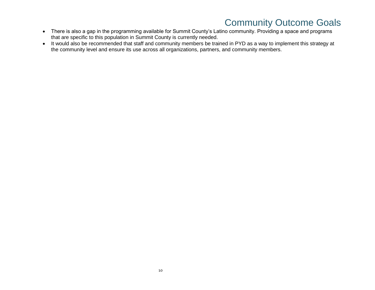- There is also a gap in the programming available for Summit County's Latino community. Providing a space and programs that are specific to this population in Summit County is currently needed.
- It would also be recommended that staff and community members be trained in PYD as a way to implement this strategy at the community level and ensure its use across all organizations, partners, and community members.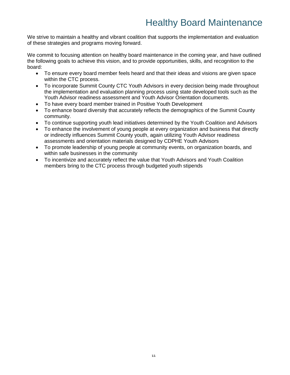## Healthy Board Maintenance

We strive to maintain a healthy and vibrant coalition that supports the implementation and evaluation of these strategies and programs moving forward.

We commit to focusing attention on healthy board maintenance in the coming year, and have outlined the following goals to achieve this vision, and to provide opportunities, skills, and recognition to the board:

- To ensure every board member feels heard and that their ideas and visions are given space within the CTC process.
- To incorporate Summit County CTC Youth Advisors in every decision being made throughout the implementation and evaluation planning process using state developed tools such as the Youth Advisor readiness assessment and Youth Advisor Orientation documents.
- To have every board member trained in Positive Youth Development
- To enhance board diversity that accurately reflects the demographics of the Summit County community.
- To continue supporting youth lead initiatives determined by the Youth Coalition and Advisors
- To enhance the involvement of young people at every organization and business that directly or indirectly influences Summit County youth, again utilizing Youth Advisor readiness assessments and orientation materials designed by CDPHE Youth Advisors
- To promote leadership of young people at community events, on organization boards, and within safe businesses in the community
- To incentivize and accurately reflect the value that Youth Advisors and Youth Coalition members bring to the CTC process through budgeted youth stipends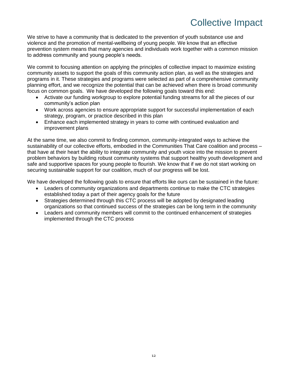## Collective Impact

We strive to have a community that is dedicated to the prevention of youth substance use and violence and the promotion of mental-wellbeing of young people. We know that an effective prevention system means that many agencies and individuals work together with a common mission to address community and young people's needs.

We commit to focusing attention on applying the principles of collective impact to maximize existing community assets to support the goals of this community action plan, as well as the strategies and programs in it. These strategies and programs were selected as part of a comprehensive community planning effort, and we recognize the potential that can be achieved when there is broad community focus on common goals. We have developed the following goals toward this end:

- Activate our funding workgroup to explore potential funding streams for all the pieces of our community's action plan
- Work across agencies to ensure appropriate support for successful implementation of each strategy, program, or practice described in this plan
- Enhance each implemented strategy in years to come with continued evaluation and improvement plans

At the same time, we also commit to finding common, community-integrated ways to achieve the sustainability of our collective efforts, embodied in the Communities That Care coalition and process – that have at their heart the ability to integrate community and youth voice into the mission to prevent problem behaviors by building robust community systems that support healthy youth development and safe and supportive spaces for young people to flourish. We know that if we do not start working on securing sustainable support for our coalition, much of our progress will be lost.

We have developed the following goals to ensure that efforts like ours can be sustained in the future:

- Leaders of community organizations and departments continue to make the CTC strategies established today a part of their agency goals for the future
- Strategies determined through this CTC process will be adopted by designated leading organizations so that continued success of the strategies can be long term in the community
- Leaders and community members will commit to the continued enhancement of strategies implemented through the CTC process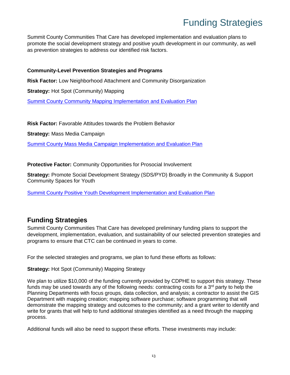## Funding Strategies

Summit County Communities That Care has developed implementation and evaluation plans to promote the social development strategy and positive youth development in our community, as well as prevention strategies to address our identified risk factors.

#### **Community-Level Prevention Strategies and Programs**

**Risk Factor:** Low Neighborhood Attachment and Community Disorganization

**Strategy:** Hot Spot (Community) Mapping

[Summit County Community Mapping Implementation and Evaluation Plan](https://docs.google.com/spreadsheets/d/1qTK84kQBsm2hDvPahGtnCwts7KRAYAUVBk39g8JH9pw/edit?usp=sharing)

**Risk Factor:** Favorable Attitudes towards the Problem Behavior

**Strategy:** Mass Media Campaign

[Summit County Mass Media Campaign Implementation and Evaluation Plan](https://docs.google.com/spreadsheets/d/1fXEVjgdRdxElENx1Mkx8qLtcWPGTp_mFHMecQ8MYR0w/edit?usp=sharing)

**Protective Factor:** Community Opportunities for Prosocial Involvement

**Strategy:** Promote Social Development Strategy (SDS/PYD) Broadly in the Community & Support Community Spaces for Youth

[Summit County Positive Youth Development Implementation and Evaluation Plan](https://docs.google.com/spreadsheets/d/1_AZkhuZsdtOFPG3MwgQzypHULzCyPdRSPgHEpQ5K6nE/edit?usp=sharing)

#### **Funding Strategies**

Summit County Communities That Care has developed preliminary funding plans to support the development, implementation, evaluation, and sustainability of our selected prevention strategies and programs to ensure that CTC can be continued in years to come.

For the selected strategies and programs, we plan to fund these efforts as follows:

**Strategy: Hot Spot (Community) Mapping Strategy** 

We plan to utilize \$10,000 of the funding currently provided by CDPHE to support this strategy. These funds may be used towards any of the following needs: contracting costs for a  $3<sup>rd</sup>$  party to help the Planning Departments with focus groups, data collection, and analysis; a contractor to assist the GIS Department with mapping creation; mapping software purchase; software programming that will demonstrate the mapping strategy and outcomes to the community; and a grant writer to identify and write for grants that will help to fund additional strategies identified as a need through the mapping process.

Additional funds will also be need to support these efforts. These investments may include: